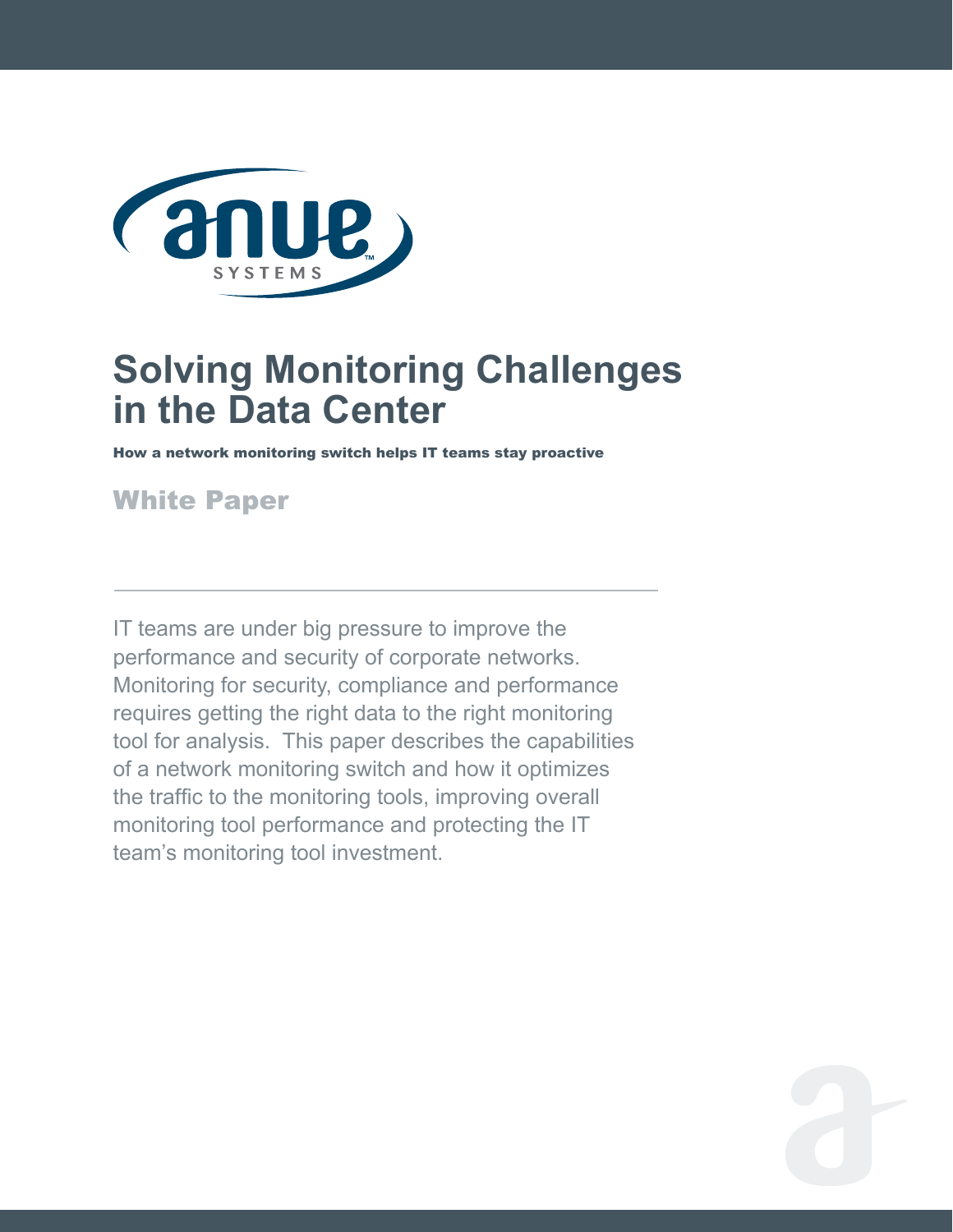

# **Solving Monitoring Challenges in the Data Center**

How a network monitoring switch helps IT teams stay proactive

## White Paper

IT teams are under big pressure to improve the performance and security of corporate networks. Monitoring for security, compliance and performance requires getting the right data to the right monitoring tool for analysis. This paper describes the capabilities of a network monitoring switch and how it optimizes the traffic to the monitoring tools, improving overall monitoring tool performance and protecting the IT team's monitoring tool investment.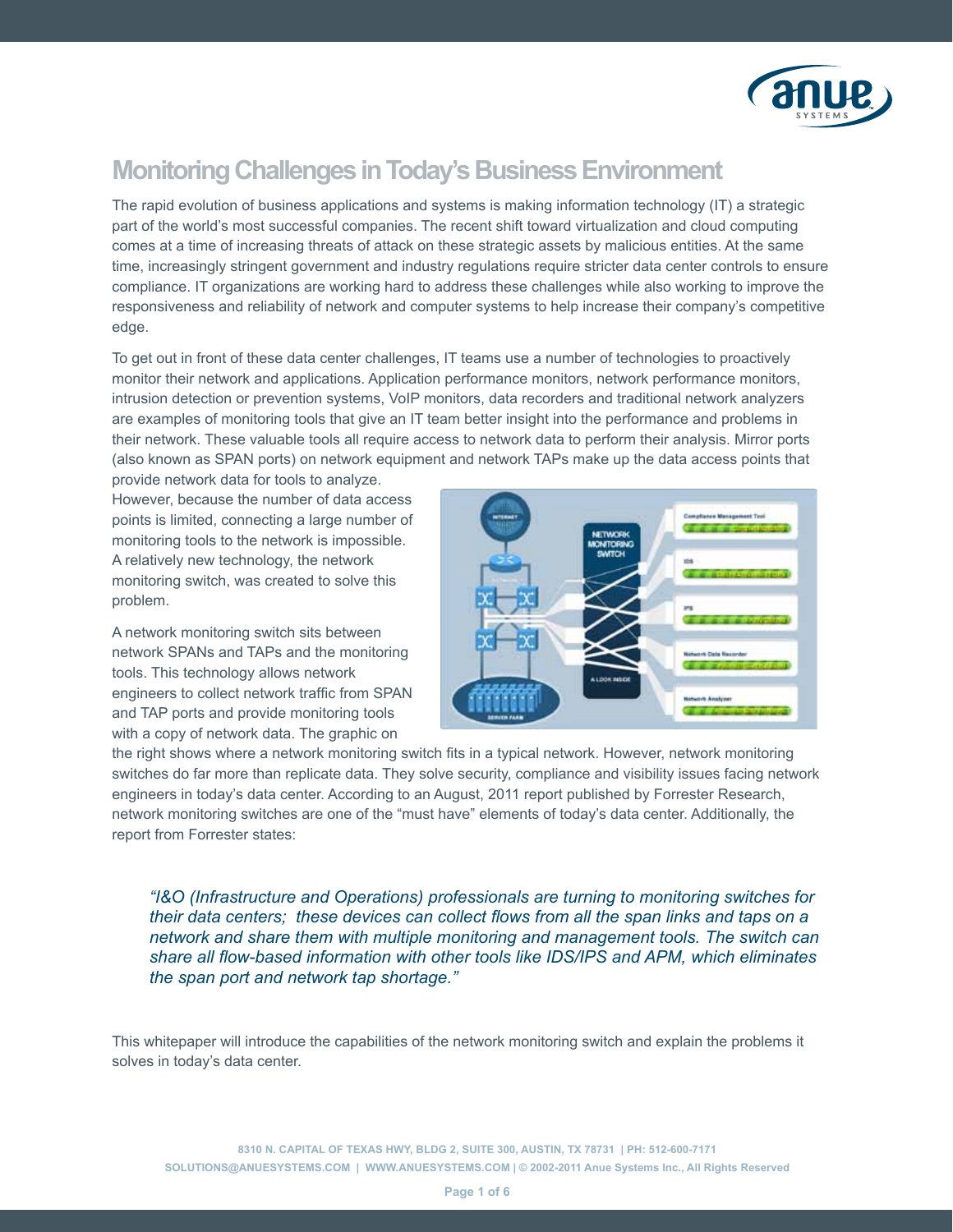

### **Monitoring Challenges in Today's Business Environment**

The rapid evolution of business applications and systems is making information technology (IT) a strategic part of the world's most successful companies. The recent shift toward virtualization and cloud computing comes at a time of increasing threats of attack on these strategic assets by malicious entities. At the same time, increasingly stringent government and industry regulations require stricter data center controls to ensure compliance. IT organizations are working hard to address these challenges while also working to improve the responsiveness and reliability of network and computer systems to help increase their company's competitive edge.

To get out in front of these data center challenges, IT teams use a number of technologies to proactively monitor their network and applications. Application performance monitors, network performance monitors, intrusion detection or prevention systems, VoIP monitors, data recorders and traditional network analyzers are examples of monitoring tools that give an IT team better insight into the performance and problems in their network. These valuable tools all require access to network data to perform their analysis. Mirror ports (also known as SPAN ports) on network equipment and network TAPs make up the data access points that

provide network data for tools to analyze. However, because the number of data access points is limited, connecting a large number of monitoring tools to the network is impossible. A relatively new technology, the network monitoring switch, was created to solve this problem.

A network monitoring switch sits between network SPANs and TAPs and the monitoring tools. This technology allows network engineers to collect network traffic from SPAN and TAP ports and provide monitoring tools with a copy of network data. The graphic on



the right shows where a network monitoring switch fits in a typical network. However, network monitoring switches do far more than replicate data. They solve security, compliance and visibility issues facing network engineers in today's data center. According to an August, 2011 report published by Forrester Research, network monitoring switches are one of the "must have" elements of today's data center. Additionally, the report from Forrester states:

*"I&O (Infrastructure and Operations) professionals are turning to monitoring switches for their data centers; these devices can collect flows from all the span links and taps on a network and share them with multiple monitoring and management tools. The switch can share all flow-based information with other tools like IDS/IPS and APM, which eliminates the span port and network tap shortage."* 

This whitepaper will introduce the capabilities of the network monitoring switch and explain the problems it solves in today's data center.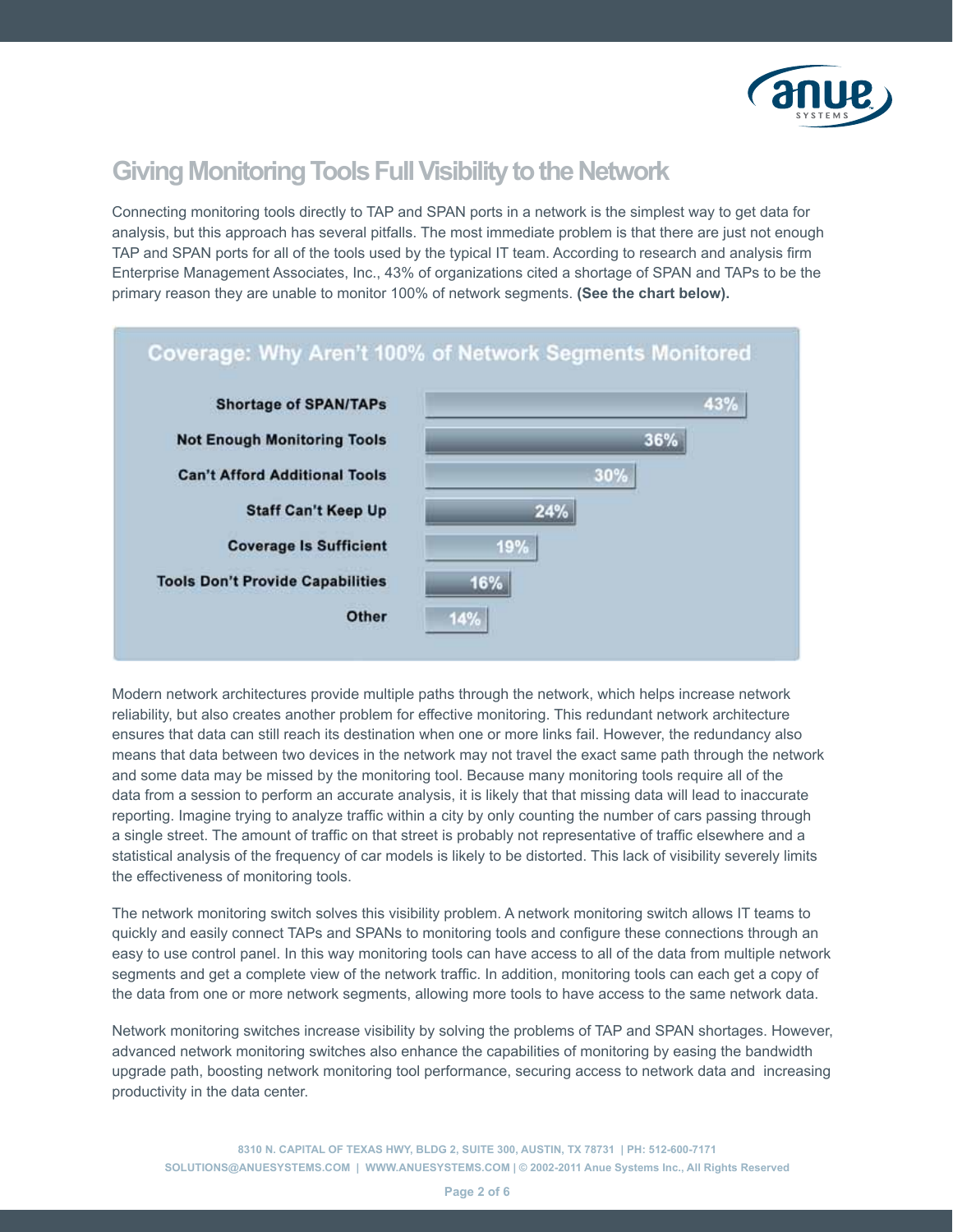

### **Giving Monitoring Tools Full Visibility to the Network**

Connecting monitoring tools directly to TAP and SPAN ports in a network is the simplest way to get data for analysis, but this approach has several pitfalls. The most immediate problem is that there are just not enough TAP and SPAN ports for all of the tools used by the typical IT team. According to research and analysis firm Enterprise Management Associates, Inc., 43% of organizations cited a shortage of SPAN and TAPs to be the primary reason they are unable to monitor 100% of network segments. **(See the chart below).** 



Modern network architectures provide multiple paths through the network, which helps increase network reliability, but also creates another problem for effective monitoring. This redundant network architecture ensures that data can still reach its destination when one or more links fail. However, the redundancy also means that data between two devices in the network may not travel the exact same path through the network and some data may be missed by the monitoring tool. Because many monitoring tools require all of the data from a session to perform an accurate analysis, it is likely that that missing data will lead to inaccurate reporting. Imagine trying to analyze traffic within a city by only counting the number of cars passing through a single street. The amount of traffic on that street is probably not representative of traffic elsewhere and a statistical analysis of the frequency of car models is likely to be distorted. This lack of visibility severely limits the effectiveness of monitoring tools.

The network monitoring switch solves this visibility problem. A network monitoring switch allows IT teams to quickly and easily connect TAPs and SPANs to monitoring tools and configure these connections through an easy to use control panel. In this way monitoring tools can have access to all of the data from multiple network segments and get a complete view of the network traffic. In addition, monitoring tools can each get a copy of the data from one or more network segments, allowing more tools to have access to the same network data.

Network monitoring switches increase visibility by solving the problems of TAP and SPAN shortages. However, advanced network monitoring switches also enhance the capabilities of monitoring by easing the bandwidth upgrade path, boosting network monitoring tool performance, securing access to network data and increasing productivity in the data center.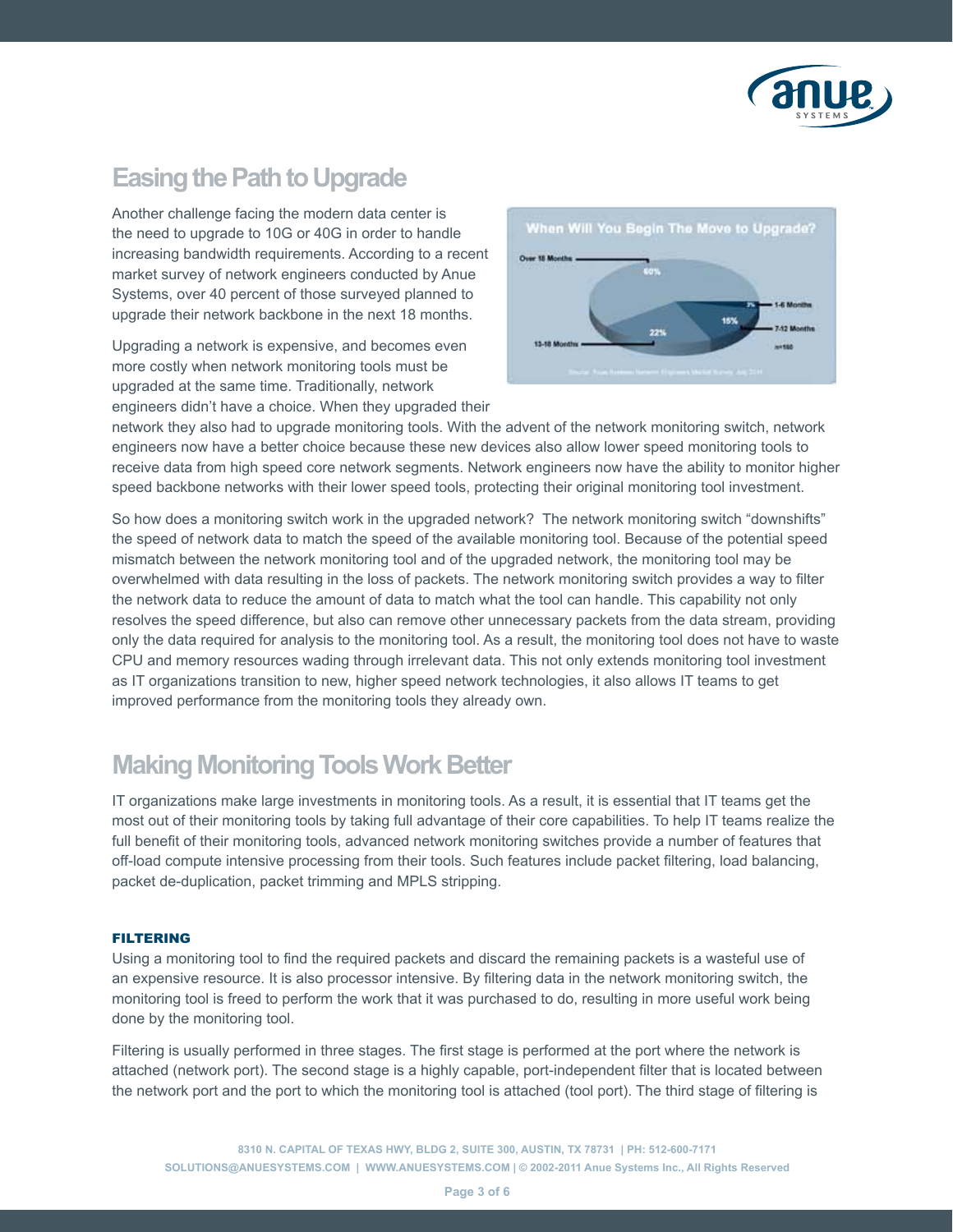

### **Easing the Path to Upgrade**

Another challenge facing the modern data center is the need to upgrade to 10G or 40G in order to handle increasing bandwidth requirements. According to a recent market survey of network engineers conducted by Anue Systems, over 40 percent of those surveyed planned to upgrade their network backbone in the next 18 months.

Upgrading a network is expensive, and becomes even more costly when network monitoring tools must be upgraded at the same time. Traditionally, network engineers didn't have a choice. When they upgraded their



network they also had to upgrade monitoring tools. With the advent of the network monitoring switch, network engineers now have a better choice because these new devices also allow lower speed monitoring tools to receive data from high speed core network segments. Network engineers now have the ability to monitor higher speed backbone networks with their lower speed tools, protecting their original monitoring tool investment.

So how does a monitoring switch work in the upgraded network? The network monitoring switch "downshifts" the speed of network data to match the speed of the available monitoring tool. Because of the potential speed mismatch between the network monitoring tool and of the upgraded network, the monitoring tool may be overwhelmed with data resulting in the loss of packets. The network monitoring switch provides a way to filter the network data to reduce the amount of data to match what the tool can handle. This capability not only resolves the speed difference, but also can remove other unnecessary packets from the data stream, providing only the data required for analysis to the monitoring tool. As a result, the monitoring tool does not have to waste CPU and memory resources wading through irrelevant data. This not only extends monitoring tool investment as IT organizations transition to new, higher speed network technologies, it also allows IT teams to get improved performance from the monitoring tools they already own.

### **Making Monitoring Tools Work Better**

IT organizations make large investments in monitoring tools. As a result, it is essential that IT teams get the most out of their monitoring tools by taking full advantage of their core capabilities. To help IT teams realize the full benefit of their monitoring tools, advanced network monitoring switches provide a number of features that off-load compute intensive processing from their tools. Such features include packet filtering, load balancing, packet de-duplication, packet trimming and MPLS stripping.

#### **FILTERING**

Using a monitoring tool to find the required packets and discard the remaining packets is a wasteful use of an expensive resource. It is also processor intensive. By filtering data in the network monitoring switch, the monitoring tool is freed to perform the work that it was purchased to do, resulting in more useful work being done by the monitoring tool.

Filtering is usually performed in three stages. The first stage is performed at the port where the network is attached (network port). The second stage is a highly capable, port-independent filter that is located between the network port and the port to which the monitoring tool is attached (tool port). The third stage of filtering is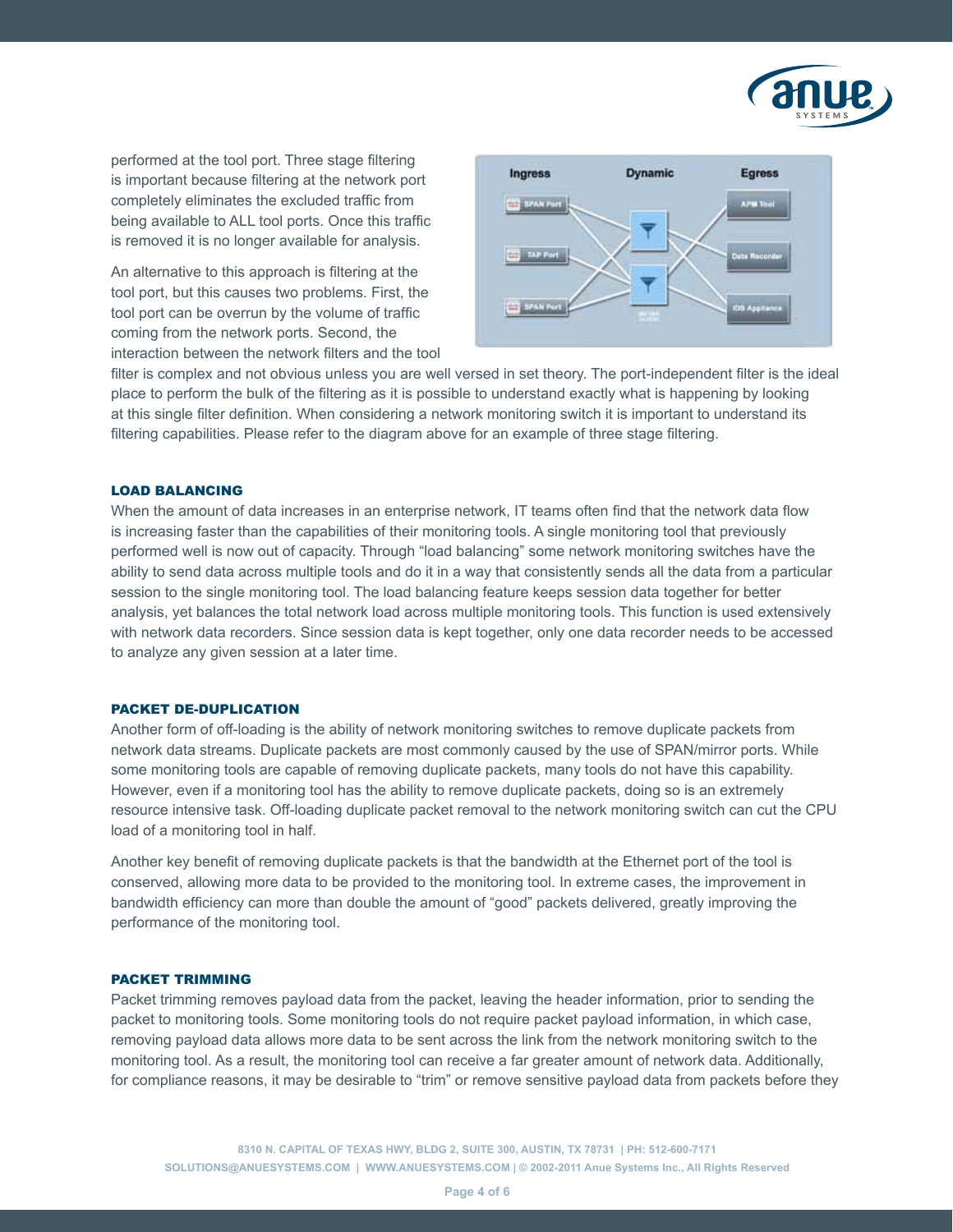

performed at the tool port. Three stage filtering is important because filtering at the network port completely eliminates the excluded traffic from being available to ALL tool ports. Once this traffic is removed it is no longer available for analysis.

An alternative to this approach is filtering at the tool port, but this causes two problems. First, the tool port can be overrun by the volume of traffic coming from the network ports. Second, the interaction between the network filters and the tool



filter is complex and not obvious unless you are well versed in set theory. The port-independent filter is the ideal place to perform the bulk of the filtering as it is possible to understand exactly what is happening by looking at this single filter definition. When considering a network monitoring switch it is important to understand its filtering capabilities. Please refer to the diagram above for an example of three stage filtering.

#### Load Balancing

When the amount of data increases in an enterprise network, IT teams often find that the network data flow is increasing faster than the capabilities of their monitoring tools. A single monitoring tool that previously performed well is now out of capacity. Through "load balancing" some network monitoring switches have the ability to send data across multiple tools and do it in a way that consistently sends all the data from a particular session to the single monitoring tool. The load balancing feature keeps session data together for better analysis, yet balances the total network load across multiple monitoring tools. This function is used extensively with network data recorders. Since session data is kept together, only one data recorder needs to be accessed to analyze any given session at a later time.

#### Packet De-Duplication

Another form of off-loading is the ability of network monitoring switches to remove duplicate packets from network data streams. Duplicate packets are most commonly caused by the use of SPAN/mirror ports. While some monitoring tools are capable of removing duplicate packets, many tools do not have this capability. However, even if a monitoring tool has the ability to remove duplicate packets, doing so is an extremely resource intensive task. Off-loading duplicate packet removal to the network monitoring switch can cut the CPU load of a monitoring tool in half.

Another key benefit of removing duplicate packets is that the bandwidth at the Ethernet port of the tool is conserved, allowing more data to be provided to the monitoring tool. In extreme cases, the improvement in bandwidth efficiency can more than double the amount of "good" packets delivered, greatly improving the performance of the monitoring tool.

#### Packet Trimming

Packet trimming removes payload data from the packet, leaving the header information, prior to sending the packet to monitoring tools. Some monitoring tools do not require packet payload information, in which case, removing payload data allows more data to be sent across the link from the network monitoring switch to the monitoring tool. As a result, the monitoring tool can receive a far greater amount of network data. Additionally, for compliance reasons, it may be desirable to "trim" or remove sensitive payload data from packets before they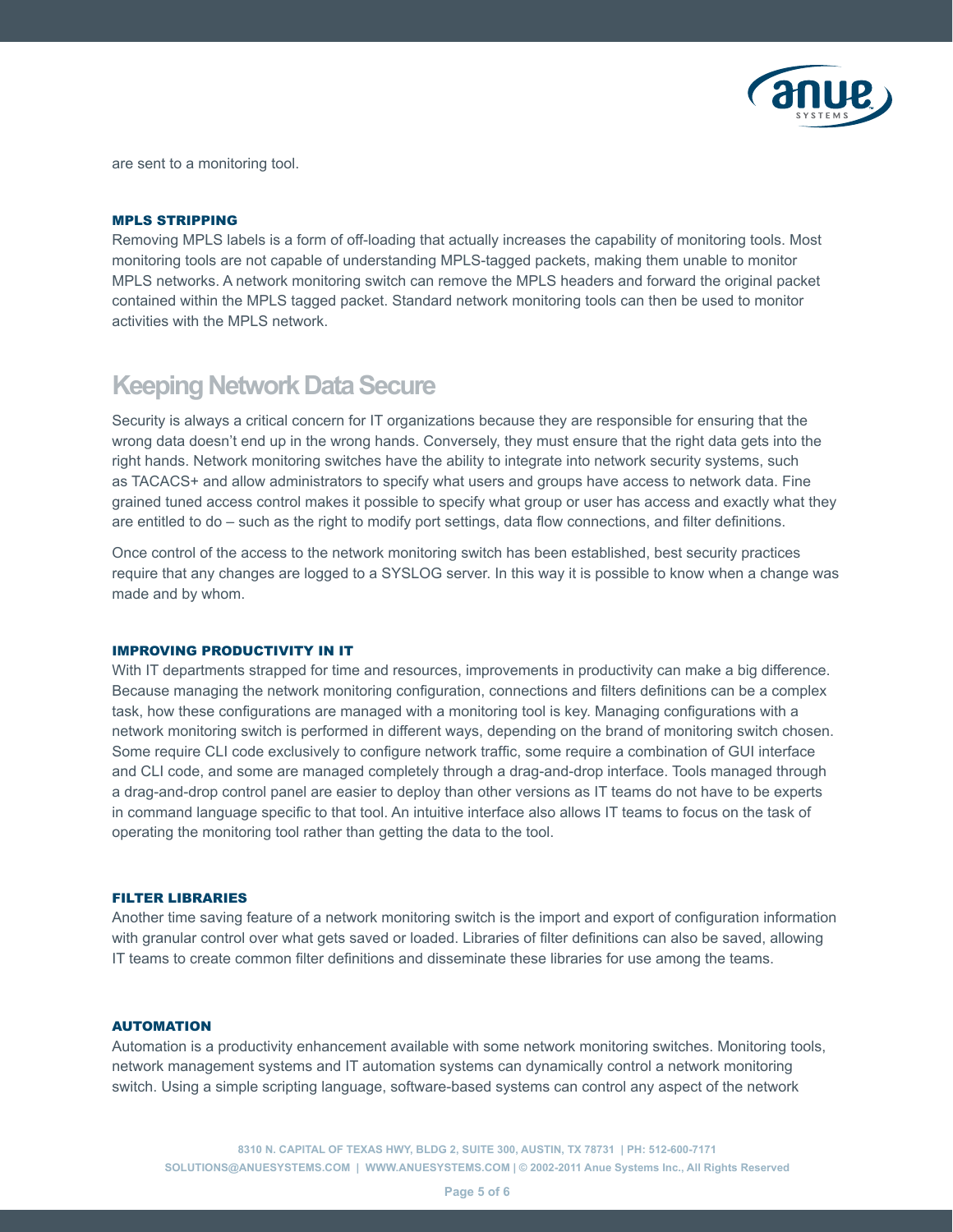

are sent to a monitoring tool.

#### MPLS Stripping

Removing MPLS labels is a form of off-loading that actually increases the capability of monitoring tools. Most monitoring tools are not capable of understanding MPLS-tagged packets, making them unable to monitor MPLS networks. A network monitoring switch can remove the MPLS headers and forward the original packet contained within the MPLS tagged packet. Standard network monitoring tools can then be used to monitor activities with the MPLS network.

### **Keeping Network Data Secure**

Security is always a critical concern for IT organizations because they are responsible for ensuring that the wrong data doesn't end up in the wrong hands. Conversely, they must ensure that the right data gets into the right hands. Network monitoring switches have the ability to integrate into network security systems, such as TACACS+ and allow administrators to specify what users and groups have access to network data. Fine grained tuned access control makes it possible to specify what group or user has access and exactly what they are entitled to do – such as the right to modify port settings, data flow connections, and filter definitions.

Once control of the access to the network monitoring switch has been established, best security practices require that any changes are logged to a SYSLOG server. In this way it is possible to know when a change was made and by whom.

#### Improving Productivity in IT

With IT departments strapped for time and resources, improvements in productivity can make a big difference. Because managing the network monitoring configuration, connections and filters definitions can be a complex task, how these configurations are managed with a monitoring tool is key. Managing configurations with a network monitoring switch is performed in different ways, depending on the brand of monitoring switch chosen. Some require CLI code exclusively to configure network traffic, some require a combination of GUI interface and CLI code, and some are managed completely through a drag-and-drop interface. Tools managed through a drag-and-drop control panel are easier to deploy than other versions as IT teams do not have to be experts in command language specific to that tool. An intuitive interface also allows IT teams to focus on the task of operating the monitoring tool rather than getting the data to the tool.

#### Filter Libraries

Another time saving feature of a network monitoring switch is the import and export of configuration information with granular control over what gets saved or loaded. Libraries of filter definitions can also be saved, allowing IT teams to create common filter definitions and disseminate these libraries for use among the teams.

#### **AUTOMATION**

Automation is a productivity enhancement available with some network monitoring switches. Monitoring tools, network management systems and IT automation systems can dynamically control a network monitoring switch. Using a simple scripting language, software-based systems can control any aspect of the network